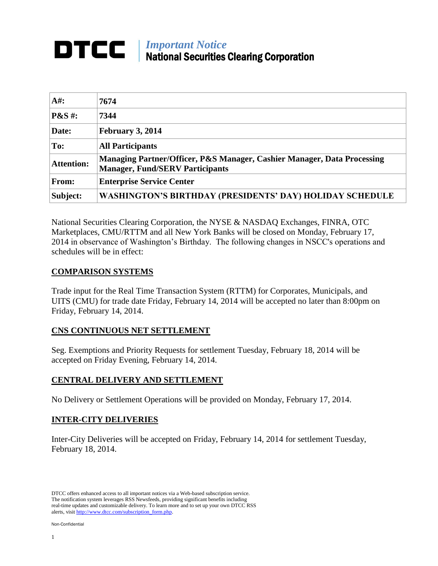# *Important Notice* National Securities Clearing Corporation

| $A#$ :                      | 7674                                                                                                              |
|-----------------------------|-------------------------------------------------------------------------------------------------------------------|
| $\mathbf{P}\&\mathbf{S}$ #: | 7344                                                                                                              |
| Date:                       | February 3, 2014                                                                                                  |
| To:                         | <b>All Participants</b>                                                                                           |
| <b>Attention:</b>           | Managing Partner/Officer, P&S Manager, Cashier Manager, Data Processing<br><b>Manager, Fund/SERV Participants</b> |
| From:                       | <b>Enterprise Service Center</b>                                                                                  |
| Subject:                    | <b>WASHINGTON'S BIRTHDAY (PRESIDENTS' DAY) HOLIDAY SCHEDULE</b>                                                   |

National Securities Clearing Corporation, the NYSE & NASDAQ Exchanges, FINRA, OTC Marketplaces, CMU/RTTM and all New York Banks will be closed on Monday, February 17, 2014 in observance of Washington's Birthday. The following changes in NSCC's operations and schedules will be in effect:

## **COMPARISON SYSTEMS**

Trade input for the Real Time Transaction System (RTTM) for Corporates, Municipals, and UITS (CMU) for trade date Friday, February 14, 2014 will be accepted no later than 8:00pm on Friday, February 14, 2014.

## **CNS CONTINUOUS NET SETTLEMENT**

Seg. Exemptions and Priority Requests for settlement Tuesday, February 18, 2014 will be accepted on Friday Evening, February 14, 2014.

# **CENTRAL DELIVERY AND SETTLEMENT**

No Delivery or Settlement Operations will be provided on Monday, February 17, 2014.

## **INTER-CITY DELIVERIES**

Inter-City Deliveries will be accepted on Friday, February 14, 2014 for settlement Tuesday, February 18, 2014.

DTCC offers enhanced access to all important notices via a Web-based subscription service. The notification system leverages RSS Newsfeeds, providing significant benefits including real-time updates and customizable delivery. To learn more and to set up your own DTCC RSS alerts, visit http://www.dtcc.com/subscription\_form.php.